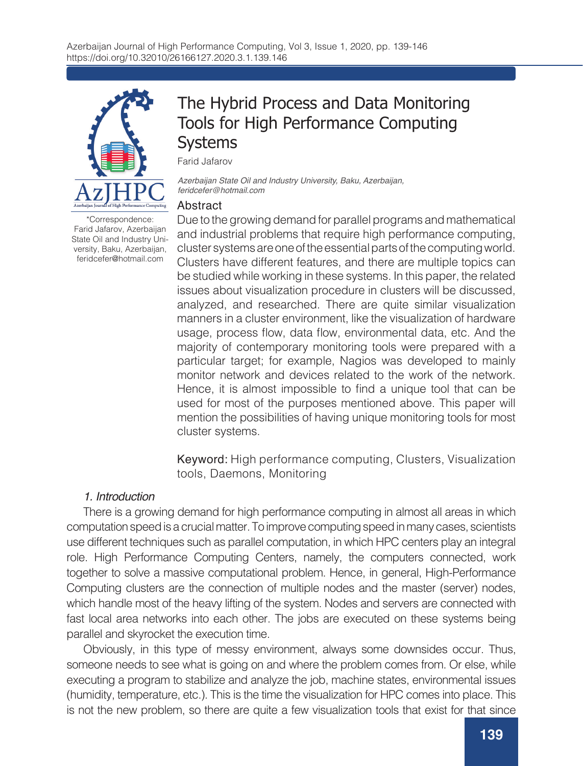

The Hybrid Process and Data Monitoring Tools for High Performance Computing Systems

Farid Jafarov

*Azerbaijan State Oil and Industry University, Baku, Azerbaijan, feridcefer@hotmail.com*

### Abstract

\*Correspondence: Farid Jafarov, Azerbaijan State Oil and Industry University, Baku, Azerbaijan, feridcefer@hotmail.com

Due to the growing demand for parallel programs and mathematical and industrial problems that require high performance computing, cluster systems are one of the essential parts of the computing world. Clusters have different features, and there are multiple topics can be studied while working in these systems. In this paper, the related issues about visualization procedure in clusters will be discussed, analyzed, and researched. There are quite similar visualization manners in a cluster environment, like the visualization of hardware usage, process flow, data flow, environmental data, etc. And the majority of contemporary monitoring tools were prepared with a particular target; for example, Nagios was developed to mainly monitor network and devices related to the work of the network. Hence, it is almost impossible to find a unique tool that can be used for most of the purposes mentioned above. This paper will mention the possibilities of having unique monitoring tools for most cluster systems.

Keyword: High performance computing, Clusters, Visualization tools, Daemons, Monitoring

## *1. Introduction*

There is a growing demand for high performance computing in almost all areas in which computation speed is a crucial matter. To improve computing speed in many cases, scientists use different techniques such as parallel computation, in which HPC centers play an integral role. High Performance Computing Centers, namely, the computers connected, work together to solve a massive computational problem. Hence, in general, High-Performance Computing clusters are the connection of multiple nodes and the master (server) nodes, which handle most of the heavy lifting of the system. Nodes and servers are connected with fast local area networks into each other. The jobs are executed on these systems being parallel and skyrocket the execution time.

Obviously, in this type of messy environment, always some downsides occur. Thus, someone needs to see what is going on and where the problem comes from. Or else, while executing a program to stabilize and analyze the job, machine states, environmental issues (humidity, temperature, etc.). This is the time the visualization for HPC comes into place. This is not the new problem, so there are quite a few visualization tools that exist for that since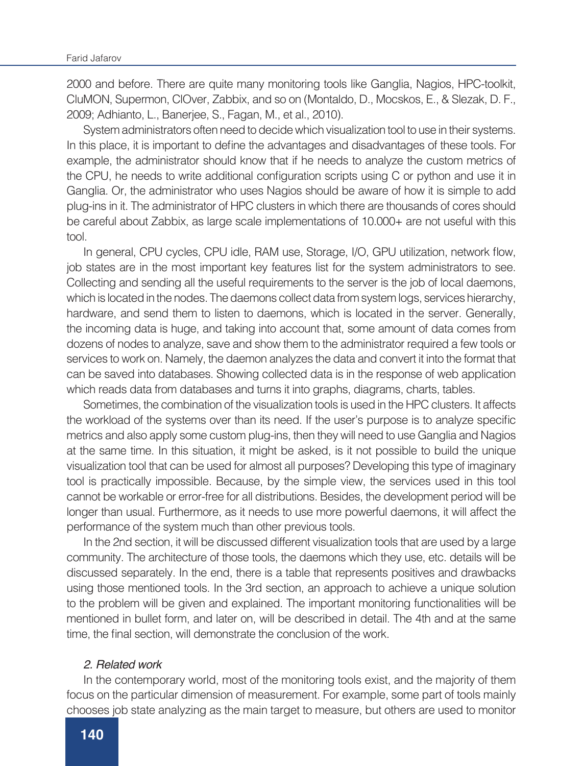2000 and before. There are quite many monitoring tools like Ganglia, Nagios, HPC-toolkit, CluMON, Supermon, ClOver, Zabbix, and so on (Montaldo, D., Mocskos, E., & Slezak, D. F., 2009; Adhianto, L., Banerjee, S., Fagan, M., et al., 2010).

System administrators often need to decide which visualization tool to use in their systems. In this place, it is important to define the advantages and disadvantages of these tools. For example, the administrator should know that if he needs to analyze the custom metrics of the CPU, he needs to write additional configuration scripts using C or python and use it in Ganglia. Or, the administrator who uses Nagios should be aware of how it is simple to add plug-ins in it. The administrator of HPC clusters in which there are thousands of cores should be careful about Zabbix, as large scale implementations of 10.000+ are not useful with this tool.

In general, CPU cycles, CPU idle, RAM use, Storage, I/O, GPU utilization, network flow, job states are in the most important key features list for the system administrators to see. Collecting and sending all the useful requirements to the server is the job of local daemons, which is located in the nodes. The daemons collect data from system logs, services hierarchy, hardware, and send them to listen to daemons, which is located in the server. Generally, the incoming data is huge, and taking into account that, some amount of data comes from dozens of nodes to analyze, save and show them to the administrator required a few tools or services to work on. Namely, the daemon analyzes the data and convert it into the format that can be saved into databases. Showing collected data is in the response of web application which reads data from databases and turns it into graphs, diagrams, charts, tables.

Sometimes, the combination of the visualization tools is used in the HPC clusters. It affects the workload of the systems over than its need. If the user's purpose is to analyze specific metrics and also apply some custom plug-ins, then they will need to use Ganglia and Nagios at the same time. In this situation, it might be asked, is it not possible to build the unique visualization tool that can be used for almost all purposes? Developing this type of imaginary tool is practically impossible. Because, by the simple view, the services used in this tool cannot be workable or error-free for all distributions. Besides, the development period will be longer than usual. Furthermore, as it needs to use more powerful daemons, it will affect the performance of the system much than other previous tools.

In the 2nd section, it will be discussed different visualization tools that are used by a large community. The architecture of those tools, the daemons which they use, etc. details will be discussed separately. In the end, there is a table that represents positives and drawbacks using those mentioned tools. In the 3rd section, an approach to achieve a unique solution to the problem will be given and explained. The important monitoring functionalities will be mentioned in bullet form, and later on, will be described in detail. The 4th and at the same time, the final section, will demonstrate the conclusion of the work.

### *2. Related work*

In the contemporary world, most of the monitoring tools exist, and the majority of them focus on the particular dimension of measurement. For example, some part of tools mainly chooses job state analyzing as the main target to measure, but others are used to monitor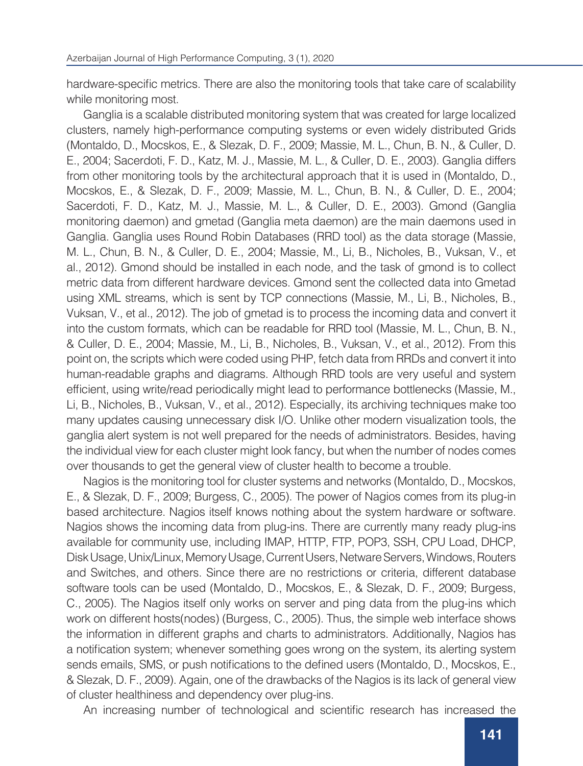hardware-specific metrics. There are also the monitoring tools that take care of scalability while monitoring most.

Ganglia is a scalable distributed monitoring system that was created for large localized clusters, namely high-performance computing systems or even widely distributed Grids (Montaldo, D., Mocskos, E., & Slezak, D. F., 2009; Massie, M. L., Chun, B. N., & Culler, D. E., 2004; Sacerdoti, F. D., Katz, M. J., Massie, M. L., & Culler, D. E., 2003). Ganglia differs from other monitoring tools by the architectural approach that it is used in (Montaldo, D., Mocskos, E., & Slezak, D. F., 2009; Massie, M. L., Chun, B. N., & Culler, D. E., 2004; Sacerdoti, F. D., Katz, M. J., Massie, M. L., & Culler, D. E., 2003). Gmond (Ganglia monitoring daemon) and gmetad (Ganglia meta daemon) are the main daemons used in Ganglia. Ganglia uses Round Robin Databases (RRD tool) as the data storage (Massie, M. L., Chun, B. N., & Culler, D. E., 2004; Massie, M., Li, B., Nicholes, B., Vuksan, V., et al., 2012). Gmond should be installed in each node, and the task of gmond is to collect metric data from different hardware devices. Gmond sent the collected data into Gmetad using XML streams, which is sent by TCP connections (Massie, M., Li, B., Nicholes, B., Vuksan, V., et al., 2012). The job of gmetad is to process the incoming data and convert it into the custom formats, which can be readable for RRD tool (Massie, M. L., Chun, B. N., & Culler, D. E., 2004; Massie, M., Li, B., Nicholes, B., Vuksan, V., et al., 2012). From this point on, the scripts which were coded using PHP, fetch data from RRDs and convert it into human-readable graphs and diagrams. Although RRD tools are very useful and system efficient, using write/read periodically might lead to performance bottlenecks (Massie, M., Li, B., Nicholes, B., Vuksan, V., et al., 2012). Especially, its archiving techniques make too many updates causing unnecessary disk I/O. Unlike other modern visualization tools, the ganglia alert system is not well prepared for the needs of administrators. Besides, having the individual view for each cluster might look fancy, but when the number of nodes comes over thousands to get the general view of cluster health to become a trouble.

Nagios is the monitoring tool for cluster systems and networks (Montaldo, D., Mocskos, E., & Slezak, D. F., 2009; Burgess, C., 2005). The power of Nagios comes from its plug-in based architecture. Nagios itself knows nothing about the system hardware or software. Nagios shows the incoming data from plug-ins. There are currently many ready plug-ins available for community use, including IMAP, HTTP, FTP, POP3, SSH, CPU Load, DHCP, Disk Usage, Unix/Linux, Memory Usage, Current Users, Netware Servers, Windows, Routers and Switches, and others. Since there are no restrictions or criteria, different database software tools can be used (Montaldo, D., Mocskos, E., & Slezak, D. F., 2009; Burgess, C., 2005). The Nagios itself only works on server and ping data from the plug-ins which work on different hosts(nodes) (Burgess, C., 2005). Thus, the simple web interface shows the information in different graphs and charts to administrators. Additionally, Nagios has a notification system; whenever something goes wrong on the system, its alerting system sends emails, SMS, or push notifications to the defined users (Montaldo, D., Mocskos, E., & Slezak, D. F., 2009). Again, one of the drawbacks of the Nagios is its lack of general view of cluster healthiness and dependency over plug-ins.

An increasing number of technological and scientific research has increased the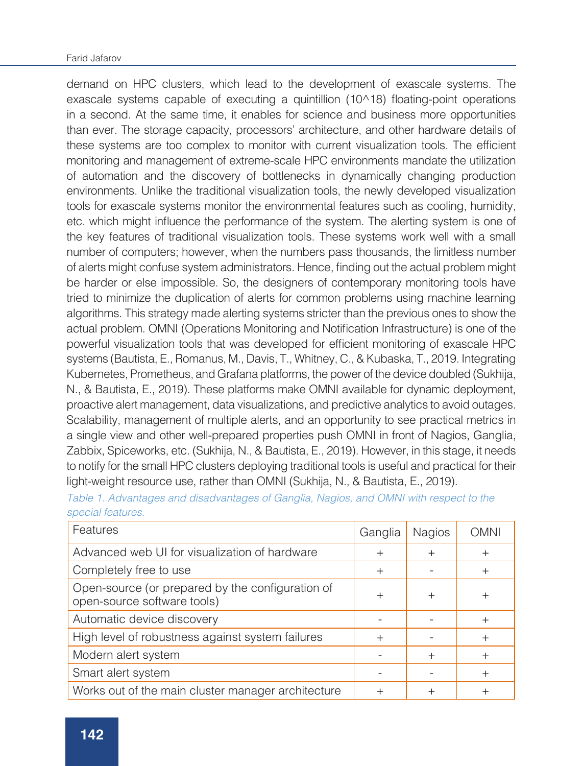### Farid Jafarov

demand on HPC clusters, which lead to the development of exascale systems. The exascale systems capable of executing a quintillion (10^18) floating-point operations in a second. At the same time, it enables for science and business more opportunities than ever. The storage capacity, processors' architecture, and other hardware details of these systems are too complex to monitor with current visualization tools. The efficient monitoring and management of extreme-scale HPC environments mandate the utilization of automation and the discovery of bottlenecks in dynamically changing production environments. Unlike the traditional visualization tools, the newly developed visualization tools for exascale systems monitor the environmental features such as cooling, humidity, etc. which might influence the performance of the system. The alerting system is one of the key features of traditional visualization tools. These systems work well with a small number of computers; however, when the numbers pass thousands, the limitless number of alerts might confuse system administrators. Hence, finding out the actual problem might be harder or else impossible. So, the designers of contemporary monitoring tools have tried to minimize the duplication of alerts for common problems using machine learning algorithms. This strategy made alerting systems stricter than the previous ones to show the actual problem. OMNI (Operations Monitoring and Notification Infrastructure) is one of the powerful visualization tools that was developed for efficient monitoring of exascale HPC systems (Bautista, E., Romanus, M., Davis, T., Whitney, C., & Kubaska, T., 2019. Integrating Kubernetes, Prometheus, and Grafana platforms, the power of the device doubled (Sukhija, N., & Bautista, E., 2019). These platforms make OMNI available for dynamic deployment, proactive alert management, data visualizations, and predictive analytics to avoid outages. Scalability, management of multiple alerts, and an opportunity to see practical metrics in a single view and other well-prepared properties push OMNI in front of Nagios, Ganglia, Zabbix, Spiceworks, etc. (Sukhija, N., & Bautista, E., 2019). However, in this stage, it needs to notify for the small HPC clusters deploying traditional tools is useful and practical for their light-weight resource use, rather than OMNI (Sukhija, N., & Bautista, E., 2019).

| Features                                                                        | Ganglia | <b>Nagios</b> | <b>OMNI</b> |
|---------------------------------------------------------------------------------|---------|---------------|-------------|
| Advanced web UI for visualization of hardware                                   | $\pm$   | $^{+}$        | $\div$      |
| Completely free to use                                                          | $^{+}$  |               |             |
| Open-source (or prepared by the configuration of<br>open-source software tools) | $^+$    | $^{+}$        |             |
| Automatic device discovery                                                      |         |               | $^{+}$      |
| High level of robustness against system failures                                | $\pm$   |               |             |
| Modern alert system                                                             |         | $^{+}$        |             |
| Smart alert system                                                              |         |               | $^{+}$      |
| Works out of the main cluster manager architecture                              | ┿       |               |             |

*Table 1. Advantages and disadvantages of Ganglia, Nagios, and OMNI with respect to the special features.*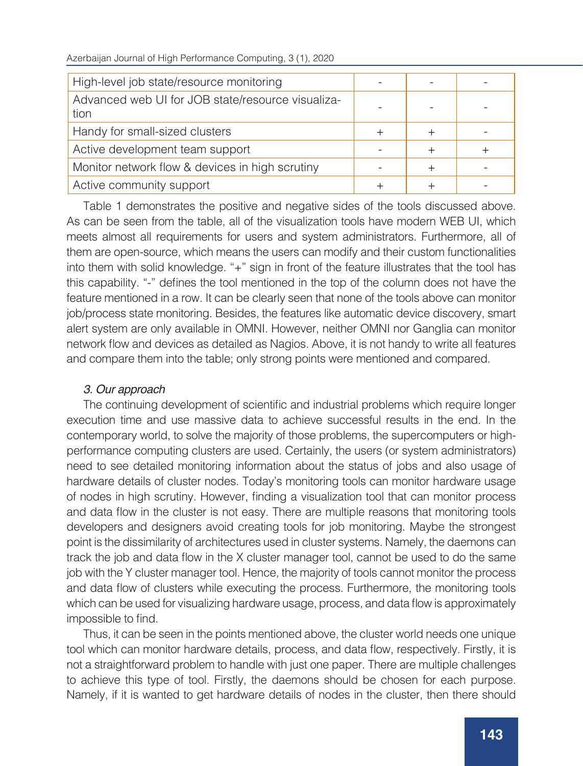| High-level job state/resource monitoring                  |  |  |
|-----------------------------------------------------------|--|--|
| Advanced web UI for JOB state/resource visualiza-<br>tion |  |  |
| Handy for small-sized clusters                            |  |  |
| Active development team support                           |  |  |
| Monitor network flow & devices in high scrutiny           |  |  |
| Active community support                                  |  |  |

Table 1 demonstrates the positive and negative sides of the tools discussed above. As can be seen from the table, all of the visualization tools have modern WEB UI, which meets almost all requirements for users and system administrators. Furthermore, all of them are open-source, which means the users can modify and their custom functionalities into them with solid knowledge. "+" sign in front of the feature illustrates that the tool has this capability. "-" defines the tool mentioned in the top of the column does not have the feature mentioned in a row. It can be clearly seen that none of the tools above can monitor job/process state monitoring. Besides, the features like automatic device discovery, smart alert system are only available in OMNI. However, neither OMNI nor Ganglia can monitor network flow and devices as detailed as Nagios. Above, it is not handy to write all features and compare them into the table; only strong points were mentioned and compared.

# *3. Our approach*

The continuing development of scientific and industrial problems which require longer execution time and use massive data to achieve successful results in the end. In the contemporary world, to solve the majority of those problems, the supercomputers or highperformance computing clusters are used. Certainly, the users (or system administrators) need to see detailed monitoring information about the status of jobs and also usage of hardware details of cluster nodes. Today's monitoring tools can monitor hardware usage of nodes in high scrutiny. However, finding a visualization tool that can monitor process and data flow in the cluster is not easy. There are multiple reasons that monitoring tools developers and designers avoid creating tools for job monitoring. Maybe the strongest point is the dissimilarity of architectures used in cluster systems. Namely, the daemons can track the job and data flow in the X cluster manager tool, cannot be used to do the same job with the Y cluster manager tool. Hence, the majority of tools cannot monitor the process and data flow of clusters while executing the process. Furthermore, the monitoring tools which can be used for visualizing hardware usage, process, and data flow is approximately impossible to find.

Thus, it can be seen in the points mentioned above, the cluster world needs one unique tool which can monitor hardware details, process, and data flow, respectively. Firstly, it is not a straightforward problem to handle with just one paper. There are multiple challenges to achieve this type of tool. Firstly, the daemons should be chosen for each purpose. Namely, if it is wanted to get hardware details of nodes in the cluster, then there should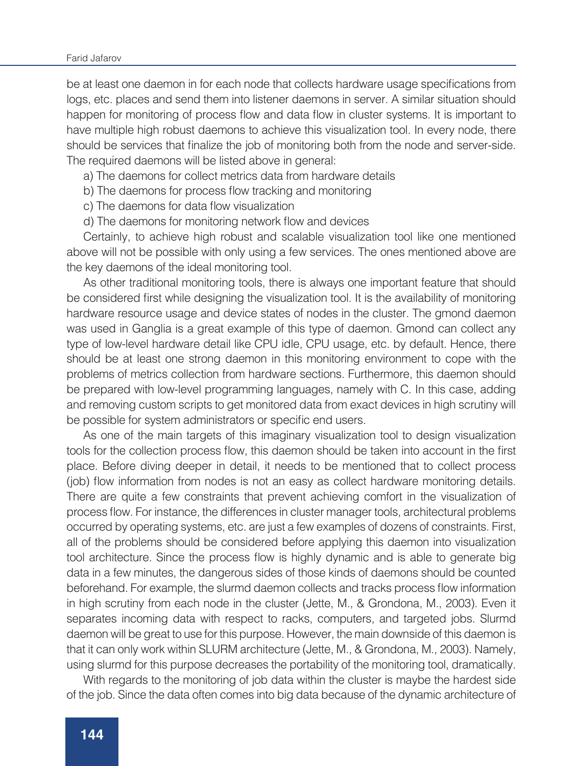#### Farid Jafarov

be at least one daemon in for each node that collects hardware usage specifications from logs, etc. places and send them into listener daemons in server. A similar situation should happen for monitoring of process flow and data flow in cluster systems. It is important to have multiple high robust daemons to achieve this visualization tool. In every node, there should be services that finalize the job of monitoring both from the node and server-side. The required daemons will be listed above in general:

a) The daemons for collect metrics data from hardware details

b) The daemons for process flow tracking and monitoring

c) The daemons for data flow visualization

d) The daemons for monitoring network flow and devices

Certainly, to achieve high robust and scalable visualization tool like one mentioned above will not be possible with only using a few services. The ones mentioned above are the key daemons of the ideal monitoring tool.

As other traditional monitoring tools, there is always one important feature that should be considered first while designing the visualization tool. It is the availability of monitoring hardware resource usage and device states of nodes in the cluster. The gmond daemon was used in Ganglia is a great example of this type of daemon. Gmond can collect any type of low-level hardware detail like CPU idle, CPU usage, etc. by default. Hence, there should be at least one strong daemon in this monitoring environment to cope with the problems of metrics collection from hardware sections. Furthermore, this daemon should be prepared with low-level programming languages, namely with C. In this case, adding and removing custom scripts to get monitored data from exact devices in high scrutiny will be possible for system administrators or specific end users.

As one of the main targets of this imaginary visualization tool to design visualization tools for the collection process flow, this daemon should be taken into account in the first place. Before diving deeper in detail, it needs to be mentioned that to collect process (job) flow information from nodes is not an easy as collect hardware monitoring details. There are quite a few constraints that prevent achieving comfort in the visualization of process flow. For instance, the differences in cluster manager tools, architectural problems occurred by operating systems, etc. are just a few examples of dozens of constraints. First, all of the problems should be considered before applying this daemon into visualization tool architecture. Since the process flow is highly dynamic and is able to generate big data in a few minutes, the dangerous sides of those kinds of daemons should be counted beforehand. For example, the slurmd daemon collects and tracks process flow information in high scrutiny from each node in the cluster (Jette, M., & Grondona, M., 2003). Even it separates incoming data with respect to racks, computers, and targeted jobs. Slurmd daemon will be great to use for this purpose. However, the main downside of this daemon is that it can only work within SLURM architecture (Jette, M., & Grondona, M., 2003). Namely, using slurmd for this purpose decreases the portability of the monitoring tool, dramatically.

With regards to the monitoring of job data within the cluster is maybe the hardest side of the job. Since the data often comes into big data because of the dynamic architecture of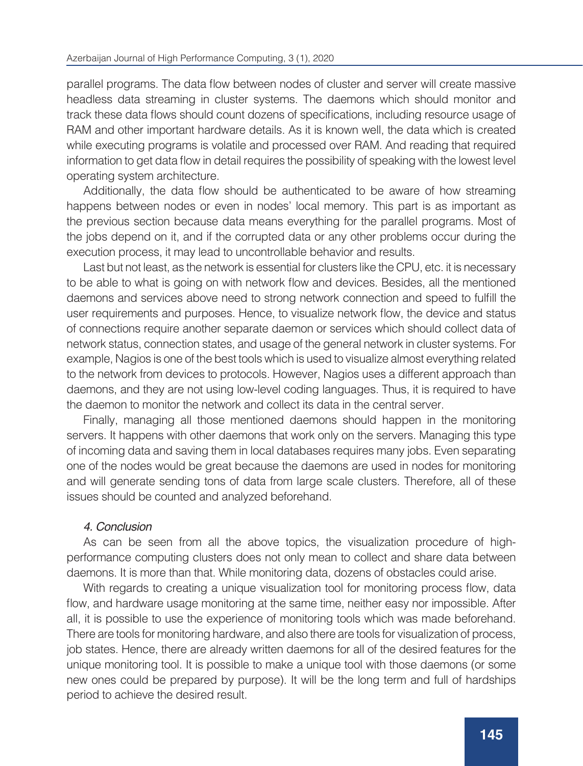parallel programs. The data flow between nodes of cluster and server will create massive headless data streaming in cluster systems. The daemons which should monitor and track these data flows should count dozens of specifications, including resource usage of RAM and other important hardware details. As it is known well, the data which is created while executing programs is volatile and processed over RAM. And reading that required information to get data flow in detail requires the possibility of speaking with the lowest level operating system architecture.

Additionally, the data flow should be authenticated to be aware of how streaming happens between nodes or even in nodes' local memory. This part is as important as the previous section because data means everything for the parallel programs. Most of the jobs depend on it, and if the corrupted data or any other problems occur during the execution process, it may lead to uncontrollable behavior and results.

Last but not least, as the network is essential for clusters like the CPU, etc. it is necessary to be able to what is going on with network flow and devices. Besides, all the mentioned daemons and services above need to strong network connection and speed to fulfill the user requirements and purposes. Hence, to visualize network flow, the device and status of connections require another separate daemon or services which should collect data of network status, connection states, and usage of the general network in cluster systems. For example, Nagios is one of the best tools which is used to visualize almost everything related to the network from devices to protocols. However, Nagios uses a different approach than daemons, and they are not using low-level coding languages. Thus, it is required to have the daemon to monitor the network and collect its data in the central server.

Finally, managing all those mentioned daemons should happen in the monitoring servers. It happens with other daemons that work only on the servers. Managing this type of incoming data and saving them in local databases requires many jobs. Even separating one of the nodes would be great because the daemons are used in nodes for monitoring and will generate sending tons of data from large scale clusters. Therefore, all of these issues should be counted and analyzed beforehand.

## *4. Conclusion*

As can be seen from all the above topics, the visualization procedure of highperformance computing clusters does not only mean to collect and share data between daemons. It is more than that. While monitoring data, dozens of obstacles could arise.

With regards to creating a unique visualization tool for monitoring process flow, data flow, and hardware usage monitoring at the same time, neither easy nor impossible. After all, it is possible to use the experience of monitoring tools which was made beforehand. There are tools for monitoring hardware, and also there are tools for visualization of process, job states. Hence, there are already written daemons for all of the desired features for the unique monitoring tool. It is possible to make a unique tool with those daemons (or some new ones could be prepared by purpose). It will be the long term and full of hardships period to achieve the desired result.